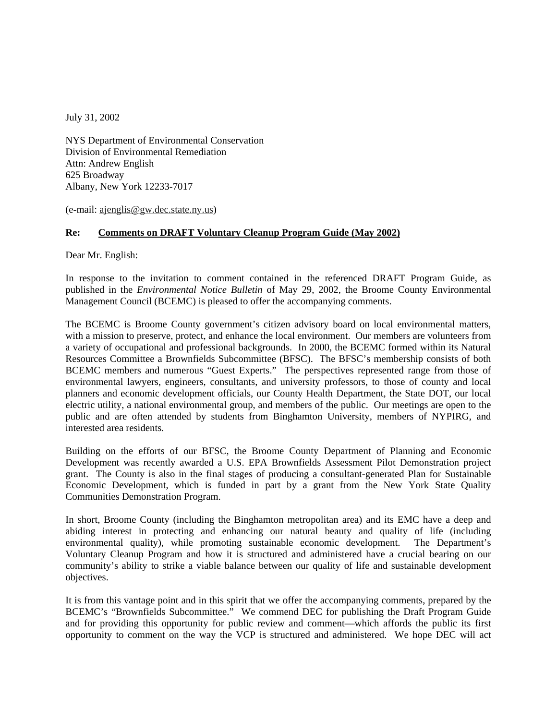July 31, 2002

NYS Department of Environmental Conservation Division of Environmental Remediation Attn: Andrew English 625 Broadway Albany, New York 12233-7017

(e-mail: ajenglis@gw.dec.state.ny.us)

# **Re: Comments on DRAFT Voluntary Cleanup Program Guide (May 2002)**

Dear Mr. English:

In response to the invitation to comment contained in the referenced DRAFT Program Guide, as published in the *Environmental Notice Bulletin* of May 29, 2002, the Broome County Environmental Management Council (BCEMC) is pleased to offer the accompanying comments.

The BCEMC is Broome County government's citizen advisory board on local environmental matters, with a mission to preserve, protect, and enhance the local environment. Our members are volunteers from a variety of occupational and professional backgrounds. In 2000, the BCEMC formed within its Natural Resources Committee a Brownfields Subcommittee (BFSC). The BFSC's membership consists of both BCEMC members and numerous "Guest Experts." The perspectives represented range from those of environmental lawyers, engineers, consultants, and university professors, to those of county and local planners and economic development officials, our County Health Department, the State DOT, our local electric utility, a national environmental group, and members of the public. Our meetings are open to the public and are often attended by students from Binghamton University, members of NYPIRG, and interested area residents.

Building on the efforts of our BFSC, the Broome County Department of Planning and Economic Development was recently awarded a U.S. EPA Brownfields Assessment Pilot Demonstration project grant. The County is also in the final stages of producing a consultant-generated Plan for Sustainable Economic Development, which is funded in part by a grant from the New York State Quality Communities Demonstration Program.

In short, Broome County (including the Binghamton metropolitan area) and its EMC have a deep and abiding interest in protecting and enhancing our natural beauty and quality of life (including environmental quality), while promoting sustainable economic development. The Department's Voluntary Cleanup Program and how it is structured and administered have a crucial bearing on our community's ability to strike a viable balance between our quality of life and sustainable development objectives.

It is from this vantage point and in this spirit that we offer the accompanying comments, prepared by the BCEMC's "Brownfields Subcommittee." We commend DEC for publishing the Draft Program Guide and for providing this opportunity for public review and comment—which affords the public its first opportunity to comment on the way the VCP is structured and administered. We hope DEC will act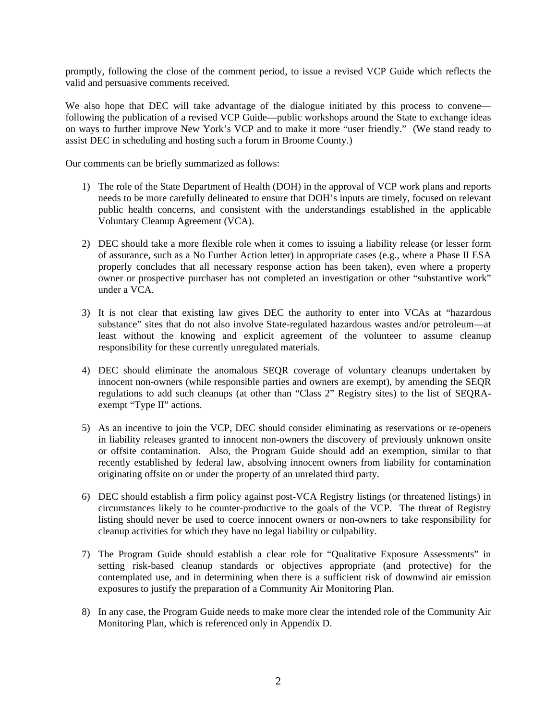promptly, following the close of the comment period, to issue a revised VCP Guide which reflects the valid and persuasive comments received.

We also hope that DEC will take advantage of the dialogue initiated by this process to convene following the publication of a revised VCP Guide—public workshops around the State to exchange ideas on ways to further improve New York's VCP and to make it more "user friendly." (We stand ready to assist DEC in scheduling and hosting such a forum in Broome County.)

Our comments can be briefly summarized as follows:

- 1) The role of the State Department of Health (DOH) in the approval of VCP work plans and reports needs to be more carefully delineated to ensure that DOH's inputs are timely, focused on relevant public health concerns, and consistent with the understandings established in the applicable Voluntary Cleanup Agreement (VCA).
- 2) DEC should take a more flexible role when it comes to issuing a liability release (or lesser form of assurance, such as a No Further Action letter) in appropriate cases (e.g., where a Phase II ESA properly concludes that all necessary response action has been taken), even where a property owner or prospective purchaser has not completed an investigation or other "substantive work" under a VCA.
- 3) It is not clear that existing law gives DEC the authority to enter into VCAs at "hazardous substance" sites that do not also involve State-regulated hazardous wastes and/or petroleum—at least without the knowing and explicit agreement of the volunteer to assume cleanup responsibility for these currently unregulated materials.
- 4) DEC should eliminate the anomalous SEQR coverage of voluntary cleanups undertaken by innocent non-owners (while responsible parties and owners are exempt), by amending the SEQR regulations to add such cleanups (at other than "Class 2" Registry sites) to the list of SEQRAexempt "Type II" actions.
- 5) As an incentive to join the VCP, DEC should consider eliminating as reservations or re-openers in liability releases granted to innocent non-owners the discovery of previously unknown onsite or offsite contamination. Also, the Program Guide should add an exemption, similar to that recently established by federal law, absolving innocent owners from liability for contamination originating offsite on or under the property of an unrelated third party.
- 6) DEC should establish a firm policy against post-VCA Registry listings (or threatened listings) in circumstances likely to be counter-productive to the goals of the VCP. The threat of Registry listing should never be used to coerce innocent owners or non-owners to take responsibility for cleanup activities for which they have no legal liability or culpability.
- 7) The Program Guide should establish a clear role for "Qualitative Exposure Assessments" in setting risk-based cleanup standards or objectives appropriate (and protective) for the contemplated use, and in determining when there is a sufficient risk of downwind air emission exposures to justify the preparation of a Community Air Monitoring Plan.
- 8) In any case, the Program Guide needs to make more clear the intended role of the Community Air Monitoring Plan, which is referenced only in Appendix D.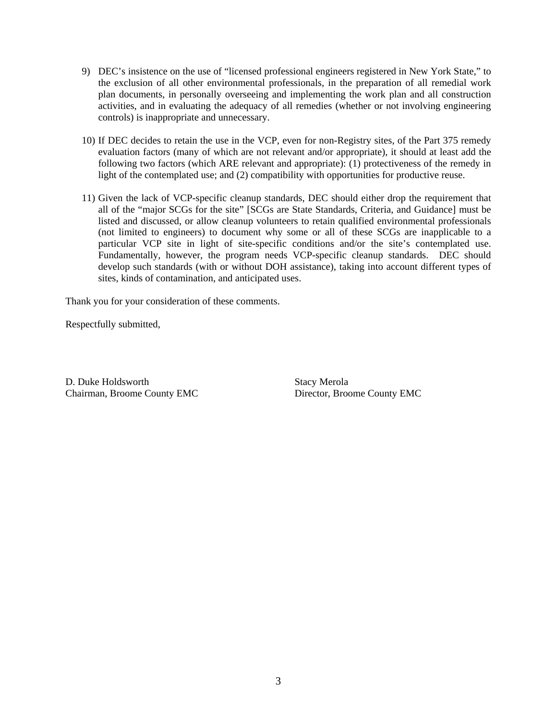- 9) DEC's insistence on the use of "licensed professional engineers registered in New York State," to the exclusion of all other environmental professionals, in the preparation of all remedial work plan documents, in personally overseeing and implementing the work plan and all construction activities, and in evaluating the adequacy of all remedies (whether or not involving engineering controls) is inappropriate and unnecessary.
- 10) If DEC decides to retain the use in the VCP, even for non-Registry sites, of the Part 375 remedy evaluation factors (many of which are not relevant and/or appropriate), it should at least add the following two factors (which ARE relevant and appropriate): (1) protectiveness of the remedy in light of the contemplated use; and (2) compatibility with opportunities for productive reuse.
- 11) Given the lack of VCP-specific cleanup standards, DEC should either drop the requirement that all of the "major SCGs for the site" [SCGs are State Standards, Criteria, and Guidance] must be listed and discussed, or allow cleanup volunteers to retain qualified environmental professionals (not limited to engineers) to document why some or all of these SCGs are inapplicable to a particular VCP site in light of site-specific conditions and/or the site's contemplated use. Fundamentally, however, the program needs VCP-specific cleanup standards. DEC should develop such standards (with or without DOH assistance), taking into account different types of sites, kinds of contamination, and anticipated uses.

Thank you for your consideration of these comments.

Respectfully submitted,

D. Duke Holdsworth Stacy Merola Chairman, Broome County EMC Director, Broome County EMC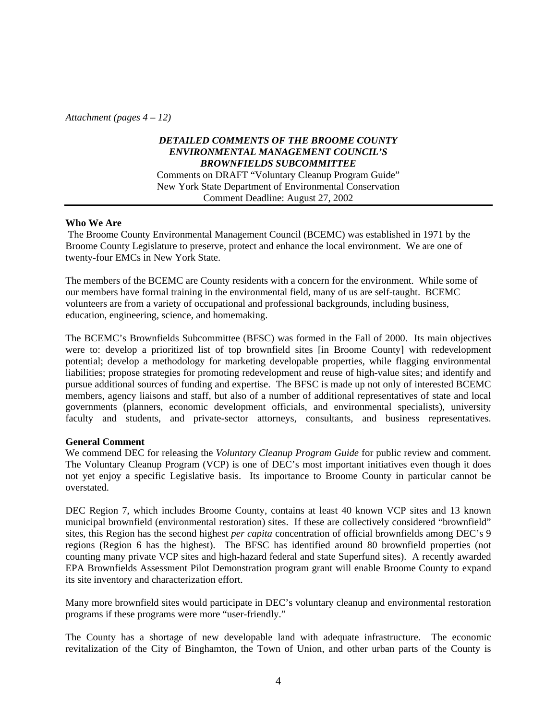*Attachment (pages 4 – 12)* 

# *DETAILED COMMENTS OF THE BROOME COUNTY ENVIRONMENTAL MANAGEMENT COUNCIL'S BROWNFIELDS SUBCOMMITTEE*

Comments on DRAFT "Voluntary Cleanup Program Guide" New York State Department of Environmental Conservation Comment Deadline: August 27, 2002

### **Who We Are**

 The Broome County Environmental Management Council (BCEMC) was established in 1971 by the Broome County Legislature to preserve, protect and enhance the local environment. We are one of twenty-four EMCs in New York State.

The members of the BCEMC are County residents with a concern for the environment. While some of our members have formal training in the environmental field, many of us are self-taught. BCEMC volunteers are from a variety of occupational and professional backgrounds, including business, education, engineering, science, and homemaking.

The BCEMC's Brownfields Subcommittee (BFSC) was formed in the Fall of 2000. Its main objectives were to: develop a prioritized list of top brownfield sites [in Broome County] with redevelopment potential; develop a methodology for marketing developable properties, while flagging environmental liabilities; propose strategies for promoting redevelopment and reuse of high-value sites; and identify and pursue additional sources of funding and expertise. The BFSC is made up not only of interested BCEMC members, agency liaisons and staff, but also of a number of additional representatives of state and local governments (planners, economic development officials, and environmental specialists), university faculty and students, and private-sector attorneys, consultants, and business representatives.

#### **General Comment**

We commend DEC for releasing the *Voluntary Cleanup Program Guide* for public review and comment. The Voluntary Cleanup Program (VCP) is one of DEC's most important initiatives even though it does not yet enjoy a specific Legislative basis. Its importance to Broome County in particular cannot be overstated.

DEC Region 7, which includes Broome County, contains at least 40 known VCP sites and 13 known municipal brownfield (environmental restoration) sites. If these are collectively considered "brownfield" sites, this Region has the second highest *per capita* concentration of official brownfields among DEC's 9 regions (Region 6 has the highest). The BFSC has identified around 80 brownfield properties (not counting many private VCP sites and high-hazard federal and state Superfund sites). A recently awarded EPA Brownfields Assessment Pilot Demonstration program grant will enable Broome County to expand its site inventory and characterization effort.

Many more brownfield sites would participate in DEC's voluntary cleanup and environmental restoration programs if these programs were more "user-friendly."

The County has a shortage of new developable land with adequate infrastructure. The economic revitalization of the City of Binghamton, the Town of Union, and other urban parts of the County is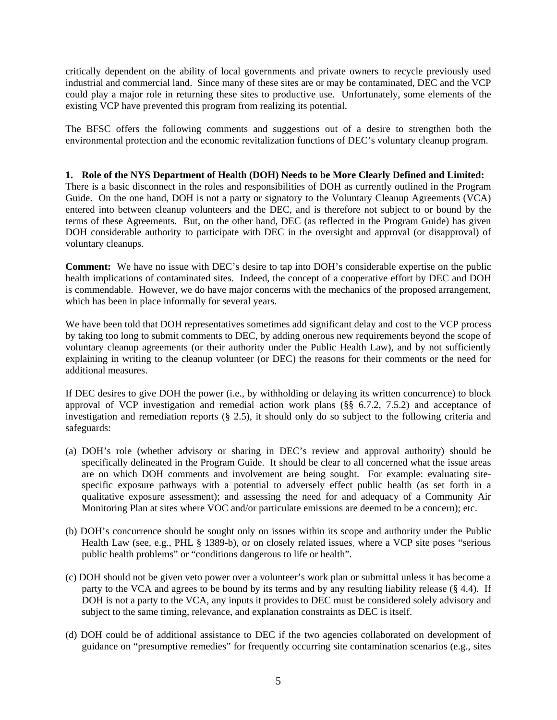critically dependent on the ability of local governments and private owners to recycle previously used industrial and commercial land. Since many of these sites are or may be contaminated, DEC and the VCP could play a major role in returning these sites to productive use. Unfortunately, some elements of the existing VCP have prevented this program from realizing its potential.

The BFSC offers the following comments and suggestions out of a desire to strengthen both the environmental protection and the economic revitalization functions of DEC's voluntary cleanup program.

### **1. Role of the NYS Department of Health (DOH) Needs to be More Clearly Defined and Limited:**

There is a basic disconnect in the roles and responsibilities of DOH as currently outlined in the Program Guide. On the one hand, DOH is not a party or signatory to the Voluntary Cleanup Agreements (VCA) entered into between cleanup volunteers and the DEC, and is therefore not subject to or bound by the terms of these Agreements. But, on the other hand, DEC (as reflected in the Program Guide) has given DOH considerable authority to participate with DEC in the oversight and approval (or disapproval) of voluntary cleanups.

**Comment:** We have no issue with DEC's desire to tap into DOH's considerable expertise on the public health implications of contaminated sites. Indeed, the concept of a cooperative effort by DEC and DOH is commendable. However, we do have major concerns with the mechanics of the proposed arrangement, which has been in place informally for several years.

We have been told that DOH representatives sometimes add significant delay and cost to the VCP process by taking too long to submit comments to DEC, by adding onerous new requirements beyond the scope of voluntary cleanup agreements (or their authority under the Public Health Law), and by not sufficiently explaining in writing to the cleanup volunteer (or DEC) the reasons for their comments or the need for additional measures.

If DEC desires to give DOH the power (i.e., by withholding or delaying its written concurrence) to block approval of VCP investigation and remedial action work plans (§§ 6.7.2, 7.5.2) and acceptance of investigation and remediation reports (§ 2.5), it should only do so subject to the following criteria and safeguards:

- (a) DOH's role (whether advisory or sharing in DEC's review and approval authority) should be specifically delineated in the Program Guide. It should be clear to all concerned what the issue areas are on which DOH comments and involvement are being sought. For example: evaluating sitespecific exposure pathways with a potential to adversely effect public health (as set forth in a qualitative exposure assessment); and assessing the need for and adequacy of a Community Air Monitoring Plan at sites where VOC and/or particulate emissions are deemed to be a concern); etc.
- (b) DOH's concurrence should be sought only on issues within its scope and authority under the Public Health Law (see, e.g., PHL § 1389-b), or on closely related issues, where a VCP site poses "serious public health problems" or "conditions dangerous to life or health".
- (c) DOH should not be given veto power over a volunteer's work plan or submittal unless it has become a party to the VCA and agrees to be bound by its terms and by any resulting liability release (§ 4.4). If DOH is not a party to the VCA, any inputs it provides to DEC must be considered solely advisory and subject to the same timing, relevance, and explanation constraints as DEC is itself.
- (d) DOH could be of additional assistance to DEC if the two agencies collaborated on development of guidance on "presumptive remedies" for frequently occurring site contamination scenarios (e.g., sites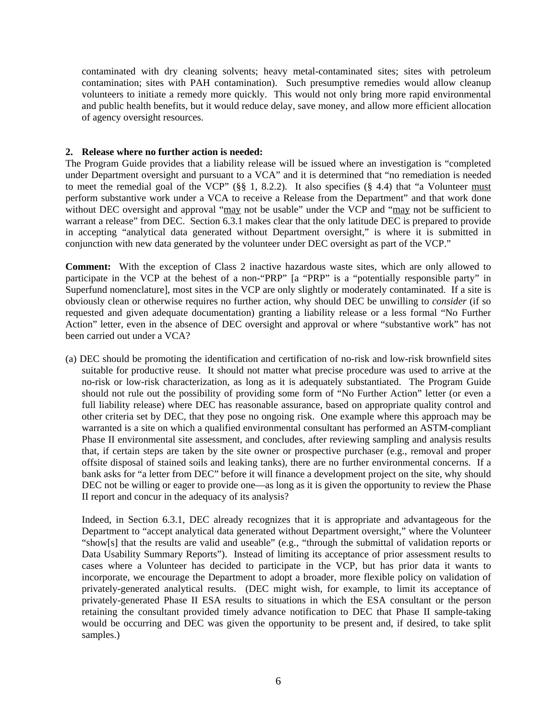contaminated with dry cleaning solvents; heavy metal-contaminated sites; sites with petroleum contamination; sites with PAH contamination). Such presumptive remedies would allow cleanup volunteers to initiate a remedy more quickly. This would not only bring more rapid environmental and public health benefits, but it would reduce delay, save money, and allow more efficient allocation of agency oversight resources.

### **2. Release where no further action is needed:**

The Program Guide provides that a liability release will be issued where an investigation is "completed under Department oversight and pursuant to a VCA" and it is determined that "no remediation is needed to meet the remedial goal of the VCP" (§§ 1, 8.2.2). It also specifies (§ 4.4) that "a Volunteer must perform substantive work under a VCA to receive a Release from the Department" and that work done without DEC oversight and approval "may not be usable" under the VCP and "may not be sufficient to warrant a release" from DEC. Section 6.3.1 makes clear that the only latitude DEC is prepared to provide in accepting "analytical data generated without Department oversight," is where it is submitted in conjunction with new data generated by the volunteer under DEC oversight as part of the VCP."

**Comment:** With the exception of Class 2 inactive hazardous waste sites, which are only allowed to participate in the VCP at the behest of a non-"PRP" [a "PRP" is a "potentially responsible party" in Superfund nomenclature], most sites in the VCP are only slightly or moderately contaminated. If a site is obviously clean or otherwise requires no further action, why should DEC be unwilling to *consider* (if so requested and given adequate documentation) granting a liability release or a less formal "No Further Action" letter, even in the absence of DEC oversight and approval or where "substantive work" has not been carried out under a VCA?

(a) DEC should be promoting the identification and certification of no-risk and low-risk brownfield sites suitable for productive reuse. It should not matter what precise procedure was used to arrive at the no-risk or low-risk characterization, as long as it is adequately substantiated. The Program Guide should not rule out the possibility of providing some form of "No Further Action" letter (or even a full liability release) where DEC has reasonable assurance, based on appropriate quality control and other criteria set by DEC, that they pose no ongoing risk. One example where this approach may be warranted is a site on which a qualified environmental consultant has performed an ASTM-compliant Phase II environmental site assessment, and concludes, after reviewing sampling and analysis results that, if certain steps are taken by the site owner or prospective purchaser (e.g., removal and proper offsite disposal of stained soils and leaking tanks), there are no further environmental concerns. If a bank asks for "a letter from DEC" before it will finance a development project on the site, why should DEC not be willing or eager to provide one—as long as it is given the opportunity to review the Phase II report and concur in the adequacy of its analysis?

Indeed, in Section 6.3.1, DEC already recognizes that it is appropriate and advantageous for the Department to "accept analytical data generated without Department oversight," where the Volunteer "show[s] that the results are valid and useable" (e.g., "through the submittal of validation reports or Data Usability Summary Reports"). Instead of limiting its acceptance of prior assessment results to cases where a Volunteer has decided to participate in the VCP, but has prior data it wants to incorporate, we encourage the Department to adopt a broader, more flexible policy on validation of privately-generated analytical results. (DEC might wish, for example, to limit its acceptance of privately-generated Phase II ESA results to situations in which the ESA consultant or the person retaining the consultant provided timely advance notification to DEC that Phase II sample-taking would be occurring and DEC was given the opportunity to be present and, if desired, to take split samples.)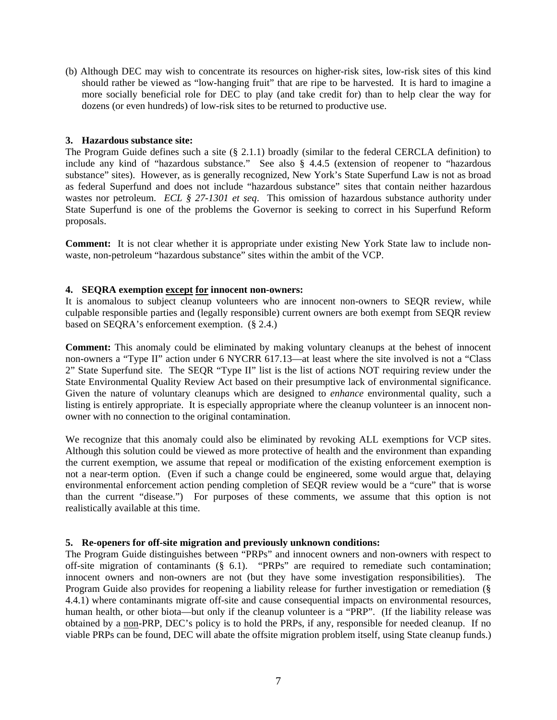(b) Although DEC may wish to concentrate its resources on higher-risk sites, low-risk sites of this kind should rather be viewed as "low-hanging fruit" that are ripe to be harvested. It is hard to imagine a more socially beneficial role for DEC to play (and take credit for) than to help clear the way for dozens (or even hundreds) of low-risk sites to be returned to productive use.

### **3. Hazardous substance site:**

The Program Guide defines such a site  $(\S$  2.1.1) broadly (similar to the federal CERCLA definition) to include any kind of "hazardous substance." See also § 4.4.5 (extension of reopener to "hazardous substance" sites). However, as is generally recognized, New York's State Superfund Law is not as broad as federal Superfund and does not include "hazardous substance" sites that contain neither hazardous wastes nor petroleum. *ECL § 27-1301 et seq*. This omission of hazardous substance authority under State Superfund is one of the problems the Governor is seeking to correct in his Superfund Reform proposals.

**Comment:** It is not clear whether it is appropriate under existing New York State law to include nonwaste, non-petroleum "hazardous substance" sites within the ambit of the VCP.

## **4. SEQRA exemption except for innocent non-owners:**

It is anomalous to subject cleanup volunteers who are innocent non-owners to SEQR review, while culpable responsible parties and (legally responsible) current owners are both exempt from SEQR review based on SEQRA's enforcement exemption. (§ 2.4.)

**Comment:** This anomaly could be eliminated by making voluntary cleanups at the behest of innocent non-owners a "Type II" action under 6 NYCRR 617.13—at least where the site involved is not a "Class 2" State Superfund site. The SEQR "Type II" list is the list of actions NOT requiring review under the State Environmental Quality Review Act based on their presumptive lack of environmental significance. Given the nature of voluntary cleanups which are designed to *enhance* environmental quality, such a listing is entirely appropriate. It is especially appropriate where the cleanup volunteer is an innocent nonowner with no connection to the original contamination.

We recognize that this anomaly could also be eliminated by revoking ALL exemptions for VCP sites. Although this solution could be viewed as more protective of health and the environment than expanding the current exemption, we assume that repeal or modification of the existing enforcement exemption is not a near-term option. (Even if such a change could be engineered, some would argue that, delaying environmental enforcement action pending completion of SEQR review would be a "cure" that is worse than the current "disease.") For purposes of these comments, we assume that this option is not realistically available at this time.

## **5. Re-openers for off-site migration and previously unknown conditions:**

The Program Guide distinguishes between "PRPs" and innocent owners and non-owners with respect to off-site migration of contaminants (§ 6.1). "PRPs" are required to remediate such contamination; innocent owners and non-owners are not (but they have some investigation responsibilities). The Program Guide also provides for reopening a liability release for further investigation or remediation (§ 4.4.1) where contaminants migrate off-site and cause consequential impacts on environmental resources, human health, or other biota—but only if the cleanup volunteer is a "PRP". (If the liability release was obtained by a non-PRP, DEC's policy is to hold the PRPs, if any, responsible for needed cleanup. If no viable PRPs can be found, DEC will abate the offsite migration problem itself, using State cleanup funds.)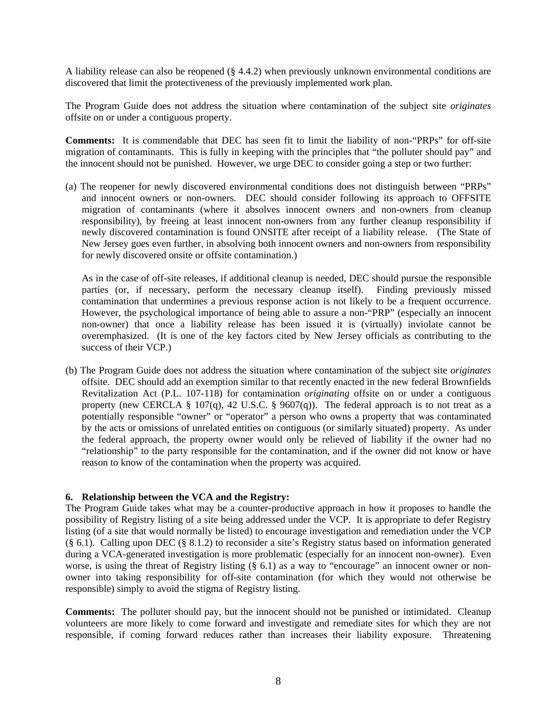A liability release can also be reopened (§ 4.4.2) when previously unknown environmental conditions are discovered that limit the protectiveness of the previously implemented work plan.

The Program Guide does not address the situation where contamination of the subject site *originates* offsite on or under a contiguous property.

**Comments:** It is commendable that DEC has seen fit to limit the liability of non-"PRPs" for off-site migration of contaminants. This is fully in keeping with the principles that "the polluter should pay" and the innocent should not be punished. However, we urge DEC to consider going a step or two further:

(a) The reopener for newly discovered environmental conditions does not distinguish between "PRPs" and innocent owners or non-owners. DEC should consider following its approach to OFFSITE migration of contaminants (where it absolves innocent owners and non-owners from cleanup responsibility), by freeing at least innocent non-owners from any further cleanup responsibility if newly discovered contamination is found ONSITE after receipt of a liability release. (The State of New Jersey goes even further, in absolving both innocent owners and non-owners from responsibility for newly discovered onsite or offsite contamination.)

As in the case of off-site releases, if additional cleanup is needed, DEC should pursue the responsible parties (or, if necessary, perform the necessary cleanup itself). Finding previously missed contamination that undermines a previous response action is not likely to be a frequent occurrence. However, the psychological importance of being able to assure a non-"PRP" (especially an innocent non-owner) that once a liability release has been issued it is (virtually) inviolate cannot be overemphasized. (It is one of the key factors cited by New Jersey officials as contributing to the success of their VCP.)

(b) The Program Guide does not address the situation where contamination of the subject site *originates* offsite. DEC should add an exemption similar to that recently enacted in the new federal Brownfields Revitalization Act (P.L. 107-118) for contamination *originating* offsite on or under a contiguous property (new CERCLA § 107(q), 42 U.S.C. § 9607(q)). The federal approach is to not treat as a potentially responsible "owner" or "operator" a person who owns a property that was contaminated by the acts or omissions of unrelated entities on contiguous (or similarly situated) property. As under the federal approach, the property owner would only be relieved of liability if the owner had no "relationship" to the party responsible for the contamination, and if the owner did not know or have reason to know of the contamination when the property was acquired.

## **6. Relationship between the VCA and the Registry:**

The Program Guide takes what may be a counter-productive approach in how it proposes to handle the possibility of Registry listing of a site being addressed under the VCP. It is appropriate to defer Registry listing (of a site that would normally be listed) to encourage investigation and remediation under the VCP (§ 6.1). Calling upon DEC (§ 8.1.2) to reconsider a site's Registry status based on information generated during a VCA-generated investigation is more problematic (especially for an innocent non-owner). Even worse, is using the threat of Registry listing (§ 6.1) as a way to "encourage" an innocent owner or nonowner into taking responsibility for off-site contamination (for which they would not otherwise be responsible) simply to avoid the stigma of Registry listing.

**Comments:** The polluter should pay, but the innocent should not be punished or intimidated. Cleanup volunteers are more likely to come forward and investigate and remediate sites for which they are not responsible, if coming forward reduces rather than increases their liability exposure. Threatening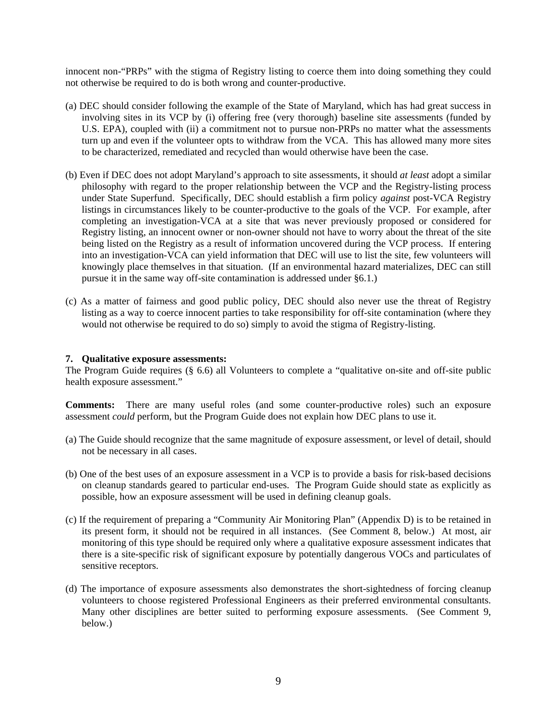innocent non-"PRPs" with the stigma of Registry listing to coerce them into doing something they could not otherwise be required to do is both wrong and counter-productive.

- (a) DEC should consider following the example of the State of Maryland, which has had great success in involving sites in its VCP by (i) offering free (very thorough) baseline site assessments (funded by U.S. EPA), coupled with (ii) a commitment not to pursue non-PRPs no matter what the assessments turn up and even if the volunteer opts to withdraw from the VCA. This has allowed many more sites to be characterized, remediated and recycled than would otherwise have been the case.
- (b) Even if DEC does not adopt Maryland's approach to site assessments, it should *at least* adopt a similar philosophy with regard to the proper relationship between the VCP and the Registry-listing process under State Superfund. Specifically, DEC should establish a firm policy *against* post-VCA Registry listings in circumstances likely to be counter-productive to the goals of the VCP. For example, after completing an investigation-VCA at a site that was never previously proposed or considered for Registry listing, an innocent owner or non-owner should not have to worry about the threat of the site being listed on the Registry as a result of information uncovered during the VCP process. If entering into an investigation-VCA can yield information that DEC will use to list the site, few volunteers will knowingly place themselves in that situation. (If an environmental hazard materializes, DEC can still pursue it in the same way off-site contamination is addressed under §6.1.)
- (c) As a matter of fairness and good public policy, DEC should also never use the threat of Registry listing as a way to coerce innocent parties to take responsibility for off-site contamination (where they would not otherwise be required to do so) simply to avoid the stigma of Registry-listing.

#### **7. Qualitative exposure assessments:**

The Program Guide requires (§ 6.6) all Volunteers to complete a "qualitative on-site and off-site public health exposure assessment."

**Comments:** There are many useful roles (and some counter-productive roles) such an exposure assessment *could* perform, but the Program Guide does not explain how DEC plans to use it.

- (a) The Guide should recognize that the same magnitude of exposure assessment, or level of detail, should not be necessary in all cases.
- (b) One of the best uses of an exposure assessment in a VCP is to provide a basis for risk-based decisions on cleanup standards geared to particular end-uses. The Program Guide should state as explicitly as possible, how an exposure assessment will be used in defining cleanup goals.
- (c) If the requirement of preparing a "Community Air Monitoring Plan" (Appendix D) is to be retained in its present form, it should not be required in all instances. (See Comment 8, below.) At most, air monitoring of this type should be required only where a qualitative exposure assessment indicates that there is a site-specific risk of significant exposure by potentially dangerous VOCs and particulates of sensitive receptors.
- (d) The importance of exposure assessments also demonstrates the short-sightedness of forcing cleanup volunteers to choose registered Professional Engineers as their preferred environmental consultants. Many other disciplines are better suited to performing exposure assessments. (See Comment 9, below.)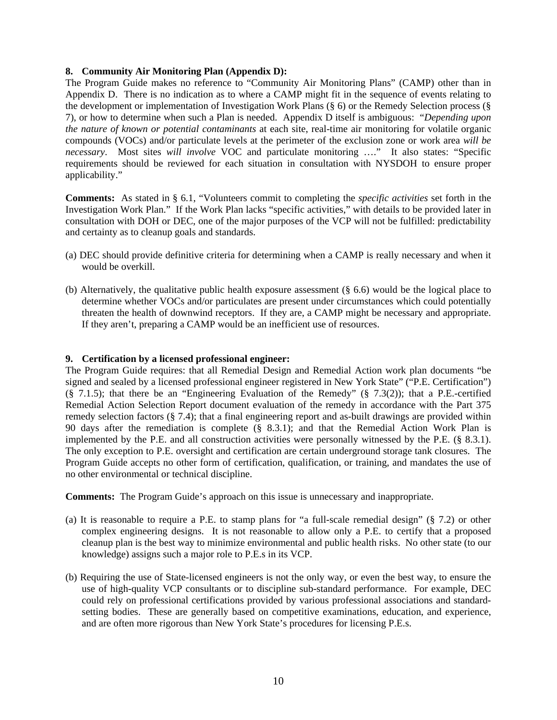### **8. Community Air Monitoring Plan (Appendix D):**

The Program Guide makes no reference to "Community Air Monitoring Plans" (CAMP) other than in Appendix D. There is no indication as to where a CAMP might fit in the sequence of events relating to the development or implementation of Investigation Work Plans (§ 6) or the Remedy Selection process (§ 7), or how to determine when such a Plan is needed. Appendix D itself is ambiguous: "*Depending upon the nature of known or potential contaminants* at each site, real-time air monitoring for volatile organic compounds (VOCs) and/or particulate levels at the perimeter of the exclusion zone or work area *will be necessary*. Most sites *will involve* VOC and particulate monitoring …." It also states: "Specific requirements should be reviewed for each situation in consultation with NYSDOH to ensure proper applicability."

**Comments:** As stated in § 6.1, "Volunteers commit to completing the *specific activities* set forth in the Investigation Work Plan." If the Work Plan lacks "specific activities," with details to be provided later in consultation with DOH or DEC, one of the major purposes of the VCP will not be fulfilled: predictability and certainty as to cleanup goals and standards.

- (a) DEC should provide definitive criteria for determining when a CAMP is really necessary and when it would be overkill.
- (b) Alternatively, the qualitative public health exposure assessment (§ 6.6) would be the logical place to determine whether VOCs and/or particulates are present under circumstances which could potentially threaten the health of downwind receptors. If they are, a CAMP might be necessary and appropriate. If they aren't, preparing a CAMP would be an inefficient use of resources.

#### **9. Certification by a licensed professional engineer:**

The Program Guide requires: that all Remedial Design and Remedial Action work plan documents "be signed and sealed by a licensed professional engineer registered in New York State" ("P.E. Certification")  $(\overline{\S}$  7.1.5); that there be an "Engineering Evaluation of the Remedy" ( $\S$  7.3(2)); that a P.E.-certified Remedial Action Selection Report document evaluation of the remedy in accordance with the Part 375 remedy selection factors (§ 7.4); that a final engineering report and as-built drawings are provided within 90 days after the remediation is complete (§ 8.3.1); and that the Remedial Action Work Plan is implemented by the P.E. and all construction activities were personally witnessed by the P.E. (§ 8.3.1). The only exception to P.E. oversight and certification are certain underground storage tank closures. The Program Guide accepts no other form of certification, qualification, or training, and mandates the use of no other environmental or technical discipline.

**Comments:** The Program Guide's approach on this issue is unnecessary and inappropriate.

- (a) It is reasonable to require a P.E. to stamp plans for "a full-scale remedial design" (§ 7.2) or other complex engineering designs. It is not reasonable to allow only a P.E. to certify that a proposed cleanup plan is the best way to minimize environmental and public health risks. No other state (to our knowledge) assigns such a major role to P.E.s in its VCP.
- (b) Requiring the use of State-licensed engineers is not the only way, or even the best way, to ensure the use of high-quality VCP consultants or to discipline sub-standard performance. For example, DEC could rely on professional certifications provided by various professional associations and standardsetting bodies. These are generally based on competitive examinations, education, and experience, and are often more rigorous than New York State's procedures for licensing P.E.s.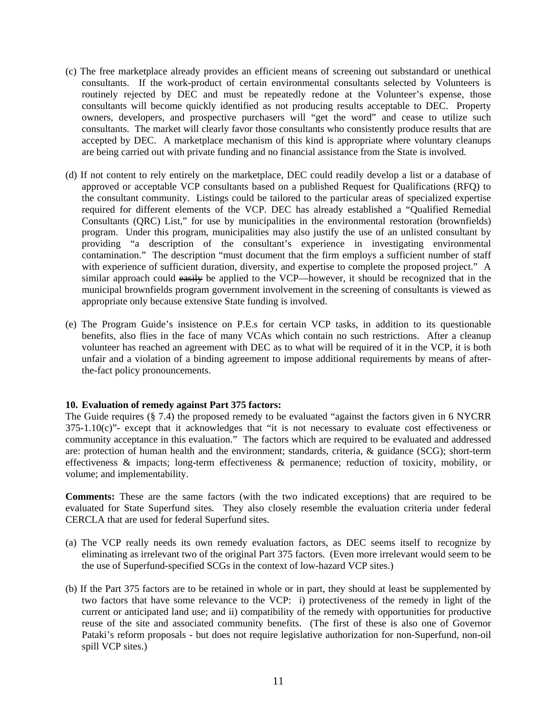- (c) The free marketplace already provides an efficient means of screening out substandard or unethical consultants. If the work-product of certain environmental consultants selected by Volunteers is routinely rejected by DEC and must be repeatedly redone at the Volunteer's expense, those consultants will become quickly identified as not producing results acceptable to DEC. Property owners, developers, and prospective purchasers will "get the word" and cease to utilize such consultants. The market will clearly favor those consultants who consistently produce results that are accepted by DEC. A marketplace mechanism of this kind is appropriate where voluntary cleanups are being carried out with private funding and no financial assistance from the State is involved.
- (d) If not content to rely entirely on the marketplace, DEC could readily develop a list or a database of approved or acceptable VCP consultants based on a published Request for Qualifications (RFQ) to the consultant community. Listings could be tailored to the particular areas of specialized expertise required for different elements of the VCP. DEC has already established a "Qualified Remedial Consultants (QRC) List," for use by municipalities in the environmental restoration (brownfields) program. Under this program, municipalities may also justify the use of an unlisted consultant by providing "a description of the consultant's experience in investigating environmental contamination." The description "must document that the firm employs a sufficient number of staff with experience of sufficient duration, diversity, and expertise to complete the proposed project." A similar approach could easily be applied to the VCP—however, it should be recognized that in the municipal brownfields program government involvement in the screening of consultants is viewed as appropriate only because extensive State funding is involved.
- (e) The Program Guide's insistence on P.E.s for certain VCP tasks, in addition to its questionable benefits, also flies in the face of many VCAs which contain no such restrictions. After a cleanup volunteer has reached an agreement with DEC as to what will be required of it in the VCP, it is both unfair and a violation of a binding agreement to impose additional requirements by means of afterthe-fact policy pronouncements.

## **10. Evaluation of remedy against Part 375 factors:**

The Guide requires (§ 7.4) the proposed remedy to be evaluated "against the factors given in 6 NYCRR 375-1.10(c)"- except that it acknowledges that "it is not necessary to evaluate cost effectiveness or community acceptance in this evaluation." The factors which are required to be evaluated and addressed are: protection of human health and the environment; standards, criteria, & guidance (SCG); short-term effectiveness & impacts; long-term effectiveness & permanence; reduction of toxicity, mobility, or volume; and implementability.

**Comments:** These are the same factors (with the two indicated exceptions) that are required to be evaluated for State Superfund sites*.* They also closely resemble the evaluation criteria under federal CERCLA that are used for federal Superfund sites.

- (a) The VCP really needs its own remedy evaluation factors, as DEC seems itself to recognize by eliminating as irrelevant two of the original Part 375 factors. (Even more irrelevant would seem to be the use of Superfund-specified SCGs in the context of low-hazard VCP sites.)
- (b) If the Part 375 factors are to be retained in whole or in part, they should at least be supplemented by two factors that have some relevance to the VCP: i) protectiveness of the remedy in light of the current or anticipated land use; and ii) compatibility of the remedy with opportunities for productive reuse of the site and associated community benefits. (The first of these is also one of Governor Pataki's reform proposals - but does not require legislative authorization for non-Superfund, non-oil spill VCP sites.)